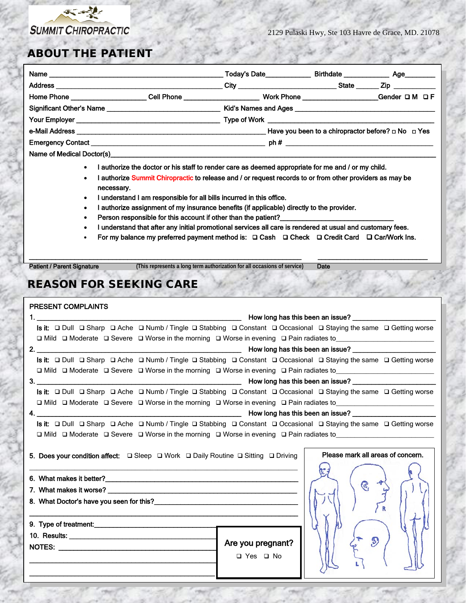

 $\overline{\phantom{a}}$ 

#### ABOUT THE PATIENT

|                                  |  | Today's Date____________                                     |       | Birthdate _________________ Age_________ |  |  |
|----------------------------------|--|--------------------------------------------------------------|-------|------------------------------------------|--|--|
|                                  |  | <u>_City _________________________________</u>               | State |                                          |  |  |
| Home Phone _____________________ |  | Work Phone _____________________                             |       | Gender $\Box$ M $\Box$ F                 |  |  |
|                                  |  |                                                              |       |                                          |  |  |
|                                  |  |                                                              |       |                                          |  |  |
|                                  |  | Have you been to a chiropractor before? $\Box$ No $\Box$ Yes |       |                                          |  |  |
|                                  |  |                                                              |       |                                          |  |  |
|                                  |  |                                                              |       |                                          |  |  |

Name of Medical Doctor(s)

- I authorize the doctor or his staff to render care as deemed appropriate for me and / or my child.
- I authorize Summit Chiropractic to release and / or request records to or from other providers as may be necessary.
- I understand I am responsible for all bills incurred in this office.
- I authorize assignment of my insurance benefits (if applicable) directly to the provider.
- Person responsible for this account if other than the patient?
- I understand that after any initial promotional services all care is rendered at usual and customary fees.
- For my balance my preferred payment method is:  $\Box$  Cash  $\Box$  Check  $\Box$  Credit Card  $\Box$  Car/Work Ins.

\_\_\_\_\_\_\_\_\_\_\_\_\_\_\_\_\_\_\_\_\_\_\_\_\_\_\_\_\_\_\_\_\_\_\_\_\_\_\_\_\_\_\_\_\_\_\_\_\_\_\_\_\_\_\_\_\_\_\_\_\_\_\_\_\_\_\_\_\_\_\_\_ \_\_\_\_\_\_\_\_\_\_\_\_\_\_\_\_\_\_\_\_\_\_\_\_\_\_\_\_\_ Patient / Parent Signature **(This represents a long term authorization for all occasions of service)** Date

## REASON FOR SEEKING CARE

|  | PRESENT COMPLAINTS                                                                                                        |                   |               |                                                                                                                       |  |  |
|--|---------------------------------------------------------------------------------------------------------------------------|-------------------|---------------|-----------------------------------------------------------------------------------------------------------------------|--|--|
|  | 1. <u>_________________________________</u><br><b>EXAMPLE 2018</b> The Moving has this been an issue?                     |                   |               |                                                                                                                       |  |  |
|  |                                                                                                                           |                   |               | Is it:  □ Dull □ Sharp □ Ache □ Numb / Tingle □ Stabbing □ Constant □ Occasional □ Staying the same □ Getting worse   |  |  |
|  |                                                                                                                           |                   |               | □ Mild □ Moderate □ Severe □ Worse in the morning □ Worse in evening □ Pain radiates to______________________________ |  |  |
|  |                                                                                                                           |                   |               |                                                                                                                       |  |  |
|  |                                                                                                                           |                   |               | Is it:  □ Dull □ Sharp □ Ache □ Numb / Tingle □ Stabbing □ Constant □ Occasional □ Staying the same □ Getting worse   |  |  |
|  |                                                                                                                           |                   |               | □ Mild □ Moderate □ Severe □ Worse in the morning □ Worse in evening □ Pain radiates to______________________________ |  |  |
|  |                                                                                                                           |                   |               |                                                                                                                       |  |  |
|  |                                                                                                                           |                   |               | Is it:  □ Dull □ Sharp □ Ache □ Numb / Tingle □ Stabbing □ Constant □ Occasional □ Staying the same □ Getting worse   |  |  |
|  |                                                                                                                           |                   |               | □ Mild □ Moderate □ Severe □ Worse in the morning □ Worse in evening □ Pain radiates to__________________             |  |  |
|  |                                                                                                                           |                   |               |                                                                                                                       |  |  |
|  |                                                                                                                           |                   |               | Is it:  □ Dull □ Sharp □ Ache □ Numb / Tingle □ Stabbing □ Constant □ Occasional □ Staying the same □ Getting worse   |  |  |
|  |                                                                                                                           |                   |               | <b>□</b> Mild □ Moderate □ Severe □ Worse in the morning □ Worse in evening □ Pain radiates to                        |  |  |
|  | 5. Does your condition affect: $\square$ Sleep $\square$ Work $\square$ Daily Routine $\square$ Sitting $\square$ Driving |                   |               | Please mark all areas of concern.                                                                                     |  |  |
|  |                                                                                                                           |                   |               |                                                                                                                       |  |  |
|  |                                                                                                                           |                   |               | $\mathcal{C}$                                                                                                         |  |  |
|  |                                                                                                                           |                   |               |                                                                                                                       |  |  |
|  |                                                                                                                           |                   |               |                                                                                                                       |  |  |
|  |                                                                                                                           |                   |               |                                                                                                                       |  |  |
|  |                                                                                                                           |                   |               |                                                                                                                       |  |  |
|  |                                                                                                                           | Are you pregnant? | $\mathcal{D}$ |                                                                                                                       |  |  |
|  |                                                                                                                           |                   | □ Yes □ No    |                                                                                                                       |  |  |
|  |                                                                                                                           |                   |               |                                                                                                                       |  |  |
|  |                                                                                                                           |                   |               |                                                                                                                       |  |  |